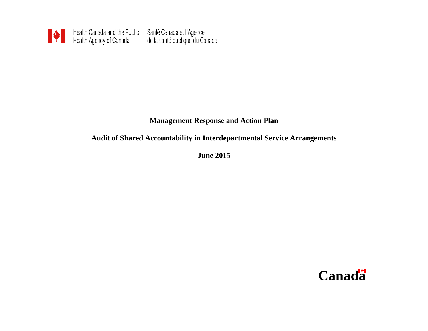

# **Management Response and Action Plan**

## **Audit of Shared Accountability in Interdepartmental Service Arrangements**

**June 2015**

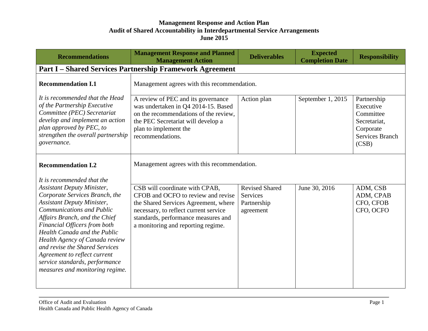| <b>Recommendations</b>                                                                                                                                                                                                                                                                                                                                                                                                 | <b>Management Response and Planned</b><br><b>Management Action</b>                                                                                                                                                                 | <b>Deliverables</b>                                                  | <b>Expected</b><br><b>Completion Date</b> | <b>Responsibility</b>                                                                                 |
|------------------------------------------------------------------------------------------------------------------------------------------------------------------------------------------------------------------------------------------------------------------------------------------------------------------------------------------------------------------------------------------------------------------------|------------------------------------------------------------------------------------------------------------------------------------------------------------------------------------------------------------------------------------|----------------------------------------------------------------------|-------------------------------------------|-------------------------------------------------------------------------------------------------------|
| <b>Part I – Shared Services Partnership Framework Agreement</b>                                                                                                                                                                                                                                                                                                                                                        |                                                                                                                                                                                                                                    |                                                                      |                                           |                                                                                                       |
| <b>Recommendation I.1</b>                                                                                                                                                                                                                                                                                                                                                                                              | Management agrees with this recommendation.                                                                                                                                                                                        |                                                                      |                                           |                                                                                                       |
| It is recommended that the Head<br>of the Partnership Executive<br>Committee (PEC) Secretariat<br>develop and implement an action<br>plan approved by PEC, to<br>strengthen the overall partnership<br>governance.                                                                                                                                                                                                     | A review of PEC and its governance<br>was undertaken in Q4 2014-15. Based<br>on the recommendations of the review,<br>the PEC Secretariat will develop a<br>plan to implement the<br>recommendations.                              | Action plan                                                          | September 1, 2015                         | Partnership<br>Executive<br>Committee<br>Secretariat,<br>Corporate<br><b>Services Branch</b><br>(CSB) |
| <b>Recommendation I.2</b><br>It is recommended that the                                                                                                                                                                                                                                                                                                                                                                | Management agrees with this recommendation.                                                                                                                                                                                        |                                                                      |                                           |                                                                                                       |
| <b>Assistant Deputy Minister,</b><br>Corporate Services Branch, the<br><b>Assistant Deputy Minister,</b><br><b>Communications and Public</b><br>Affairs Branch, and the Chief<br>Financial Officers from both<br>Health Canada and the Public<br>Health Agency of Canada review<br>and revise the Shared Services<br>Agreement to reflect current<br>service standards, performance<br>measures and monitoring regime. | CSB will coordinate with CPAB,<br>CFOB and OCFO to review and revise<br>the Shared Services Agreement, where<br>necessary, to reflect current service<br>standards, performance measures and<br>a monitoring and reporting regime. | <b>Revised Shared</b><br><b>Services</b><br>Partnership<br>agreement | June 30, 2016                             | ADM, CSB<br>ADM, CPAB<br>CFO, CFOB<br>CFO, OCFO                                                       |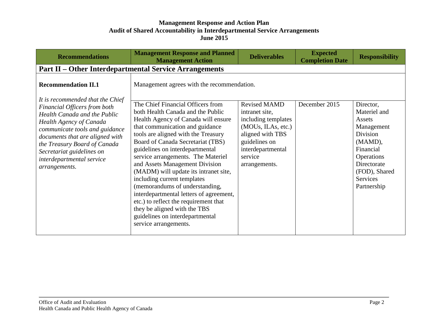| <b>Recommendations</b>                                                                                                                                                                                                                                                  | <b>Management Response and Planned</b><br><b>Management Action</b>                                                                                                                                                                                                                                                                                                                                                                                                                                                                                                                                                                | <b>Deliverables</b>                                                                                                                                                      | <b>Expected</b><br><b>Completion Date</b> | <b>Responsibility</b>                                                                                                                                                 |
|-------------------------------------------------------------------------------------------------------------------------------------------------------------------------------------------------------------------------------------------------------------------------|-----------------------------------------------------------------------------------------------------------------------------------------------------------------------------------------------------------------------------------------------------------------------------------------------------------------------------------------------------------------------------------------------------------------------------------------------------------------------------------------------------------------------------------------------------------------------------------------------------------------------------------|--------------------------------------------------------------------------------------------------------------------------------------------------------------------------|-------------------------------------------|-----------------------------------------------------------------------------------------------------------------------------------------------------------------------|
|                                                                                                                                                                                                                                                                         | <b>Part II – Other Interdepartmental Service Arrangements</b>                                                                                                                                                                                                                                                                                                                                                                                                                                                                                                                                                                     |                                                                                                                                                                          |                                           |                                                                                                                                                                       |
| <b>Recommendation II.1</b><br>It is recommended that the Chief                                                                                                                                                                                                          | Management agrees with the recommendation.                                                                                                                                                                                                                                                                                                                                                                                                                                                                                                                                                                                        |                                                                                                                                                                          |                                           |                                                                                                                                                                       |
| Financial Officers from both<br>Health Canada and the Public<br>Health Agency of Canada<br>communicate tools and guidance<br>documents that are aligned with<br>the Treasury Board of Canada<br>Secretariat guidelines on<br>interdepartmental service<br>arrangements. | The Chief Financial Officers from<br>both Health Canada and the Public<br>Health Agency of Canada will ensure<br>that communication and guidance<br>tools are aligned with the Treasury<br>Board of Canada Secretariat (TBS)<br>guidelines on interdepartmental<br>service arrangements. The Materiel<br>and Assets Management Division<br>(MADM) will update its intranet site,<br>including current templates<br>(memorandums of understanding,<br>interdepartmental letters of agreement,<br>etc.) to reflect the requirement that<br>they be aligned with the TBS<br>guidelines on interdepartmental<br>service arrangements. | <b>Revised MAMD</b><br>intranet site,<br>including templates<br>(MOUs, ILAs, etc.)<br>aligned with TBS<br>guidelines on<br>interdepartmental<br>service<br>arrangements. | December 2015                             | Director,<br>Materiel and<br>Assets<br>Management<br>Division<br>(MAMD),<br>Financial<br>Operations<br>Directorate<br>(FOD), Shared<br><b>Services</b><br>Partnership |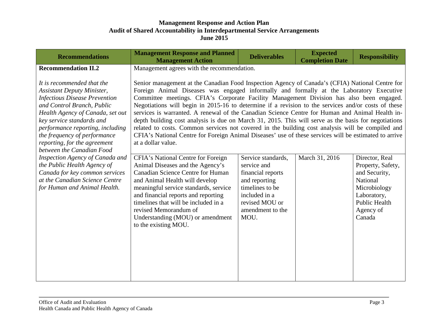| <b>Recommendations</b>                                                                                                                                                                                                                                                                                                                   | <b>Management Response and Planned</b><br><b>Management Action</b>                                                                                                                                                                                                                                                                                                                                                                                                                                                                                                                                                                                                                                                                                                                                                                                                                        | <b>Deliverables</b>                                                                                                                                       | <b>Expected</b><br><b>Completion Date</b> | <b>Responsibility</b>                                                                                                                          |
|------------------------------------------------------------------------------------------------------------------------------------------------------------------------------------------------------------------------------------------------------------------------------------------------------------------------------------------|-------------------------------------------------------------------------------------------------------------------------------------------------------------------------------------------------------------------------------------------------------------------------------------------------------------------------------------------------------------------------------------------------------------------------------------------------------------------------------------------------------------------------------------------------------------------------------------------------------------------------------------------------------------------------------------------------------------------------------------------------------------------------------------------------------------------------------------------------------------------------------------------|-----------------------------------------------------------------------------------------------------------------------------------------------------------|-------------------------------------------|------------------------------------------------------------------------------------------------------------------------------------------------|
| <b>Recommendation II.2</b><br>It is recommended that the<br><b>Assistant Deputy Minister,</b><br><b>Infectious Disease Prevention</b><br>and Control Branch, Public<br>Health Agency of Canada, set out<br>key service standards and<br>performance reporting, including<br>the frequency of performance<br>reporting, for the agreement | Management agrees with the recommendation.<br>Senior management at the Canadian Food Inspection Agency of Canada's (CFIA) National Centre for<br>Foreign Animal Diseases was engaged informally and formally at the Laboratory Executive<br>Committee meetings. CFIA's Corporate Facility Management Division has also been engaged.<br>Negotiations will begin in 2015-16 to determine if a revision to the services and/or costs of these<br>services is warranted. A renewal of the Canadian Science Centre for Human and Animal Health in-<br>depth building cost analysis is due on March 31, 2015. This will serve as the basis for negotiations<br>related to costs. Common services not covered in the building cost analysis will be compiled and<br>CFIA's National Centre for Foreign Animal Diseases' use of these services will be estimated to arrive<br>at a dollar value. |                                                                                                                                                           |                                           |                                                                                                                                                |
| between the Canadian Food<br>Inspection Agency of Canada and<br>the Public Health Agency of<br>Canada for key common services<br>at the Canadian Science Centre<br>for Human and Animal Health.                                                                                                                                          | CFIA's National Centre for Foreign<br>Animal Diseases and the Agency's<br><b>Canadian Science Centre for Human</b><br>and Animal Health will develop<br>meaningful service standards, service<br>and financial reports and reporting<br>timelines that will be included in a<br>revised Memorandum of<br>Understanding (MOU) or amendment<br>to the existing MOU.                                                                                                                                                                                                                                                                                                                                                                                                                                                                                                                         | Service standards,<br>service and<br>financial reports<br>and reporting<br>timelines to be<br>included in a<br>revised MOU or<br>amendment to the<br>MOU. | March 31, 2016                            | Director, Real<br>Property, Safety,<br>and Security,<br>National<br>Microbiology<br>Laboratory,<br><b>Public Health</b><br>Agency of<br>Canada |